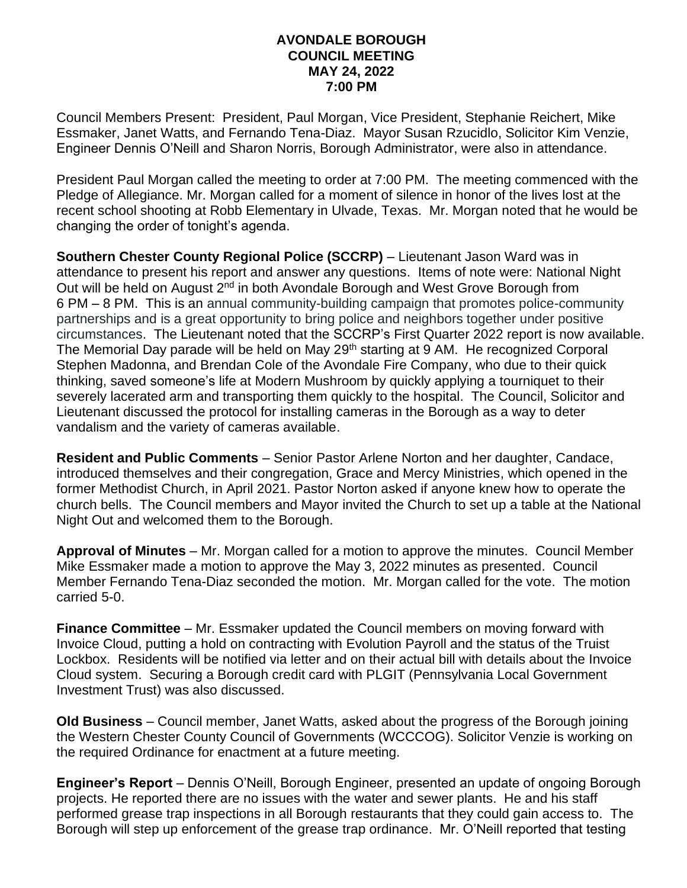## **AVONDALE BOROUGH COUNCIL MEETING MAY 24, 2022 7:00 PM**

Council Members Present: President, Paul Morgan, Vice President, Stephanie Reichert, Mike Essmaker, Janet Watts, and Fernando Tena-Diaz. Mayor Susan Rzucidlo, Solicitor Kim Venzie, Engineer Dennis O'Neill and Sharon Norris, Borough Administrator, were also in attendance.

President Paul Morgan called the meeting to order at 7:00 PM. The meeting commenced with the Pledge of Allegiance. Mr. Morgan called for a moment of silence in honor of the lives lost at the recent school shooting at Robb Elementary in Ulvade, Texas. Mr. Morgan noted that he would be changing the order of tonight's agenda.

**Southern Chester County Regional Police (SCCRP)** – Lieutenant Jason Ward was in attendance to present his report and answer any questions. Items of note were: National Night Out will be held on August 2<sup>nd</sup> in both Avondale Borough and West Grove Borough from 6 PM – 8 PM. This is an annual community-building campaign that promotes police-community partnerships and is a great opportunity to bring police and neighbors together under positive circumstances. The Lieutenant noted that the SCCRP's First Quarter 2022 report is now available. The Memorial Day parade will be held on May 29<sup>th</sup> starting at 9 AM. He recognized Corporal Stephen Madonna, and Brendan Cole of the Avondale Fire Company, who due to their quick thinking, saved someone's life at Modern Mushroom by quickly applying a tourniquet to their severely lacerated arm and transporting them quickly to the hospital. The Council, Solicitor and Lieutenant discussed the protocol for installing cameras in the Borough as a way to deter vandalism and the variety of cameras available.

**Resident and Public Comments** – Senior Pastor Arlene Norton and her daughter, Candace, introduced themselves and their congregation, Grace and Mercy Ministries, which opened in the former Methodist Church, in April 2021. Pastor Norton asked if anyone knew how to operate the church bells. The Council members and Mayor invited the Church to set up a table at the National Night Out and welcomed them to the Borough.

**Approval of Minutes** – Mr. Morgan called for a motion to approve the minutes. Council Member Mike Essmaker made a motion to approve the May 3, 2022 minutes as presented. Council Member Fernando Tena-Diaz seconded the motion. Mr. Morgan called for the vote. The motion carried 5-0.

**Finance Committee** – Mr. Essmaker updated the Council members on moving forward with Invoice Cloud, putting a hold on contracting with Evolution Payroll and the status of the Truist Lockbox. Residents will be notified via letter and on their actual bill with details about the Invoice Cloud system. Securing a Borough credit card with PLGIT (Pennsylvania Local Government Investment Trust) was also discussed.

**Old Business** – Council member, Janet Watts, asked about the progress of the Borough joining the Western Chester County Council of Governments (WCCCOG). Solicitor Venzie is working on the required Ordinance for enactment at a future meeting.

**Engineer's Report** – Dennis O'Neill, Borough Engineer, presented an update of ongoing Borough projects. He reported there are no issues with the water and sewer plants. He and his staff performed grease trap inspections in all Borough restaurants that they could gain access to. The Borough will step up enforcement of the grease trap ordinance. Mr. O'Neill reported that testing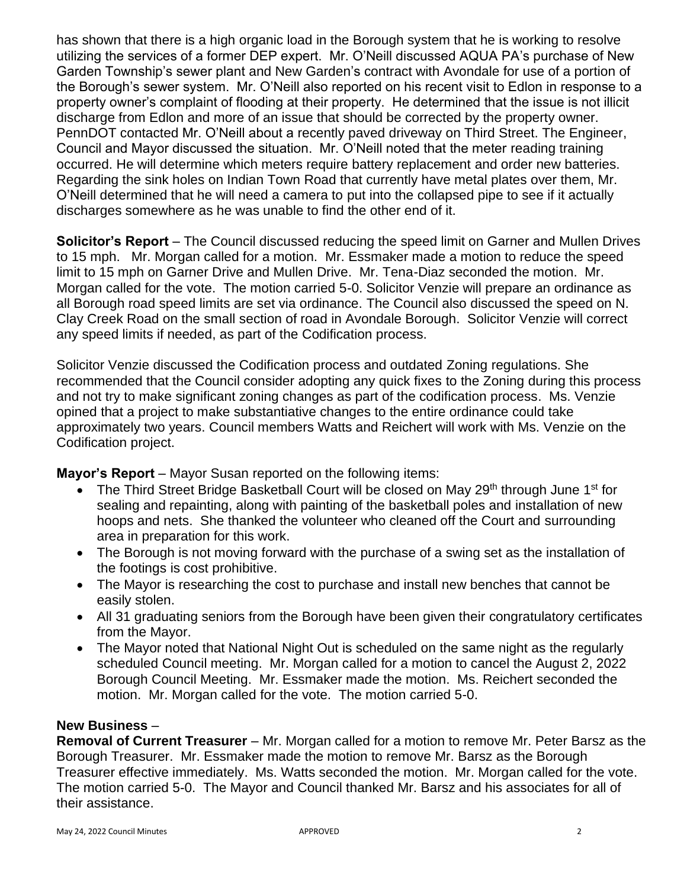has shown that there is a high organic load in the Borough system that he is working to resolve utilizing the services of a former DEP expert. Mr. O'Neill discussed AQUA PA's purchase of New Garden Township's sewer plant and New Garden's contract with Avondale for use of a portion of the Borough's sewer system. Mr. O'Neill also reported on his recent visit to Edlon in response to a property owner's complaint of flooding at their property. He determined that the issue is not illicit discharge from Edlon and more of an issue that should be corrected by the property owner. PennDOT contacted Mr. O'Neill about a recently paved driveway on Third Street. The Engineer, Council and Mayor discussed the situation. Mr. O'Neill noted that the meter reading training occurred. He will determine which meters require battery replacement and order new batteries. Regarding the sink holes on Indian Town Road that currently have metal plates over them, Mr. O'Neill determined that he will need a camera to put into the collapsed pipe to see if it actually discharges somewhere as he was unable to find the other end of it.

**Solicitor's Report** – The Council discussed reducing the speed limit on Garner and Mullen Drives to 15 mph. Mr. Morgan called for a motion. Mr. Essmaker made a motion to reduce the speed limit to 15 mph on Garner Drive and Mullen Drive. Mr. Tena-Diaz seconded the motion. Mr. Morgan called for the vote. The motion carried 5-0. Solicitor Venzie will prepare an ordinance as all Borough road speed limits are set via ordinance. The Council also discussed the speed on N. Clay Creek Road on the small section of road in Avondale Borough. Solicitor Venzie will correct any speed limits if needed, as part of the Codification process.

Solicitor Venzie discussed the Codification process and outdated Zoning regulations. She recommended that the Council consider adopting any quick fixes to the Zoning during this process and not try to make significant zoning changes as part of the codification process. Ms. Venzie opined that a project to make substantiative changes to the entire ordinance could take approximately two years. Council members Watts and Reichert will work with Ms. Venzie on the Codification project.

**Mayor's Report** – Mayor Susan reported on the following items:

- The Third Street Bridge Basketball Court will be closed on May 29<sup>th</sup> through June 1<sup>st</sup> for sealing and repainting, along with painting of the basketball poles and installation of new hoops and nets. She thanked the volunteer who cleaned off the Court and surrounding area in preparation for this work.
- The Borough is not moving forward with the purchase of a swing set as the installation of the footings is cost prohibitive.
- The Mayor is researching the cost to purchase and install new benches that cannot be easily stolen.
- All 31 graduating seniors from the Borough have been given their congratulatory certificates from the Mayor.
- The Mayor noted that National Night Out is scheduled on the same night as the regularly scheduled Council meeting. Mr. Morgan called for a motion to cancel the August 2, 2022 Borough Council Meeting. Mr. Essmaker made the motion. Ms. Reichert seconded the motion. Mr. Morgan called for the vote. The motion carried 5-0.

## **New Business** –

**Removal of Current Treasurer** – Mr. Morgan called for a motion to remove Mr. Peter Barsz as the Borough Treasurer. Mr. Essmaker made the motion to remove Mr. Barsz as the Borough Treasurer effective immediately. Ms. Watts seconded the motion. Mr. Morgan called for the vote. The motion carried 5-0. The Mayor and Council thanked Mr. Barsz and his associates for all of their assistance.